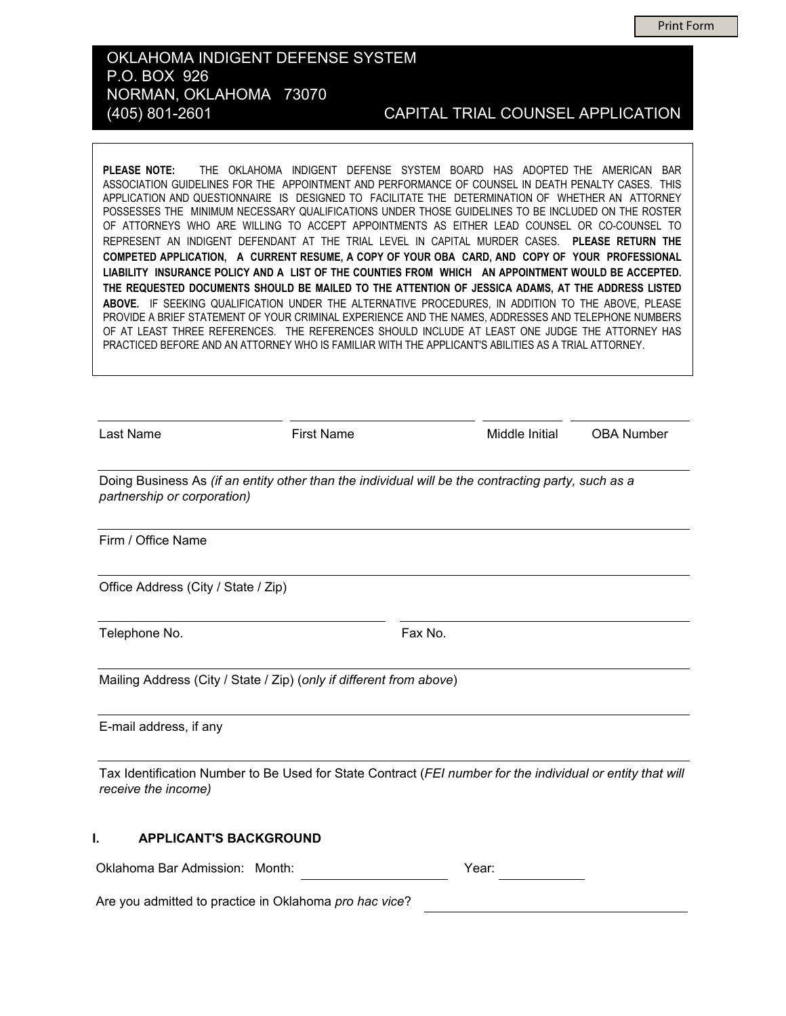**Print Form** 

### OKLAHOMA INDIGENT DEFENSE SYSTEM P.O. BOX 926 NORMAN, OKLAHOMA 73070 (405) 801-2601

### CAPITAL TRIAL COUNSEL APPLICATION

THE OKLAHOMA INDIGENT DEFENSE SYSTEM BOARD HAS ADOPTED THE AMERICAN BAR PLEASE NOTE: ASSOCIATION GUIDELINES FOR THE APPOINTMENT AND PERFORMANCE OF COUNSEL IN DEATH PENALTY CASES. THIS APPLICATION AND QUESTIONNAIRE IS DESIGNED TO FACILITATE THE DETERMINATION OF WHETHER AN ATTORNEY POSSESSES THE MINIMUM NECESSARY QUALIFICATIONS UNDER THOSE GUIDELINES TO BE INCLUDED ON THE ROSTER OF ATTORNEYS WHO ARE WILLING TO ACCEPT APPOINTMENTS AS EITHER LEAD COUNSEL OR CO-COUNSEL TO REPRESENT AN INDIGENT DEFENDANT AT THE TRIAL LEVEL IN CAPITAL MURDER CASES. PLEASE RETURN THE COMPETED APPLICATION, A CURRENT RESUME, A COPY OF YOUR OBA CARD, AND COPY OF YOUR PROFESSIONAL LIABILITY INSURANCE POLICY AND A LIST OF THE COUNTIES FROM WHICH AN APPOINTMENT WOULD BE ACCEPTED. THE REQUESTED DOCUMENTS SHOULD BE MAILED TO THE ATTENTION OF JESSICA ADAMS, AT THE ADDRESS LISTED ABOVE. IF SEEKING QUALIFICATION UNDER THE ALTERNATIVE PROCEDURES, IN ADDITION TO THE ABOVE, PLEASE PROVIDE A BRIEF STATEMENT OF YOUR CRIMINAL EXPERIENCE AND THE NAMES, ADDRESSES AND TELEPHONE NUMBERS OF AT LEAST THREE REFERENCES. THE REFERENCES SHOULD INCLUDE AT LEAST ONE JUDGE THE ATTORNEY HAS PRACTICED BEFORE AND AN ATTORNEY WHO IS FAMILIAR WITH THE APPLICANT'S ABILITIES AS A TRIAL ATTORNEY.

| Last Name                           | <b>First Name</b>                                                                                          | Middle Initial | <b>OBA Number</b> |
|-------------------------------------|------------------------------------------------------------------------------------------------------------|----------------|-------------------|
| partnership or corporation)         | Doing Business As (if an entity other than the individual will be the contracting party, such as a         |                |                   |
| Firm / Office Name                  |                                                                                                            |                |                   |
| Office Address (City / State / Zip) |                                                                                                            |                |                   |
| Telephone No.                       |                                                                                                            | Fax No.        |                   |
|                                     | Mailing Address (City / State / Zip) (only if different from above)                                        |                |                   |
| E-mail address, if any              |                                                                                                            |                |                   |
| receive the income)                 | Tax Identification Number to Be Used for State Contract (FEI number for the individual or entity that will |                |                   |
| <b>APPLICANT'S BACKGROUND</b><br>L  |                                                                                                            |                |                   |
| Oklahoma Bar Admission: Month:      |                                                                                                            | Year:          |                   |

Are you admitted to practice in Oklahoma pro hac vice?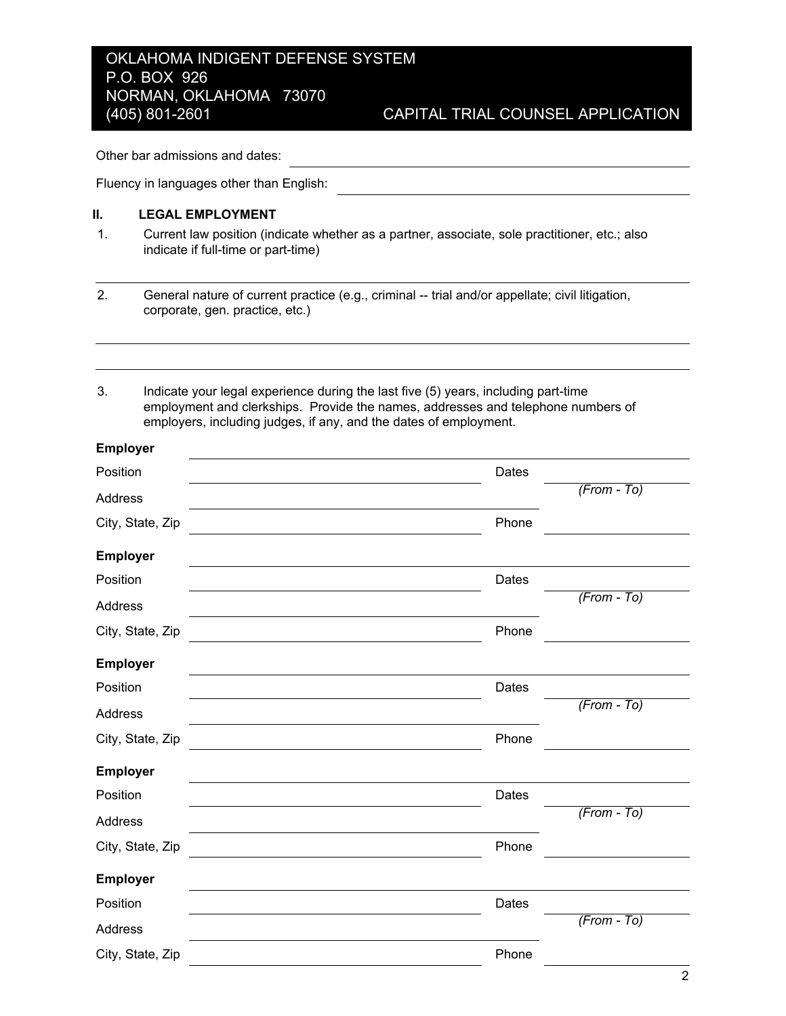the contract of the contract of the contract of the contract of the contract of

Other bar admissions and dates:

Fluency in languages other than English:

### II. **LEGAL EMPLOYMENT**

 $1<sub>1</sub>$ Current law position (indicate whether as a partner, associate, sole practitioner, etc.; also indicate if full-time or part-time)

 $2<sub>1</sub>$ General nature of current practice (e.g., criminal -- trial and/or appellate; civil litigation, corporate, gen. practice, etc.)

 $3<sub>1</sub>$ Indicate your legal experience during the last five (5) years, including part-time employment and clerkships. Provide the names, addresses and telephone numbers of employers, including judges, if any, and the dates of employment.

| <b>Employer</b>  |       |               |
|------------------|-------|---------------|
| Position         | Dates |               |
| Address          |       | $(From - To)$ |
| City, State, Zip | Phone |               |
| <b>Employer</b>  |       |               |
| Position         | Dates |               |
| Address          |       | $(From - To)$ |
| City, State, Zip | Phone |               |
| <b>Employer</b>  |       |               |
| Position         | Dates |               |
| Address          |       | $(From - To)$ |
| City, State, Zip | Phone |               |
| <b>Employer</b>  |       |               |
| Position         | Dates |               |
| Address          |       | $(From - To)$ |
| City, State, Zip | Phone |               |
| <b>Employer</b>  |       |               |
| Position         | Dates |               |
| Address          |       | $(From - To)$ |
| City, State, Zip | Phone |               |
|                  |       |               |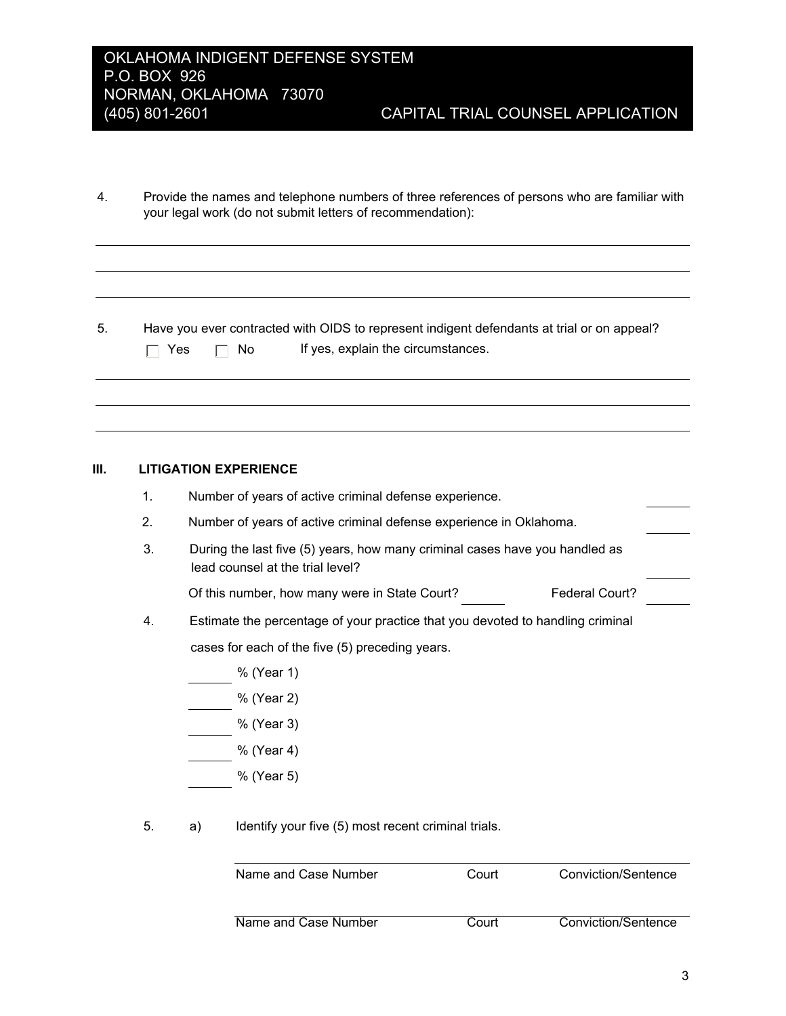- $4.$ Provide the names and telephone numbers of three references of persons who are familiar with your legal work (do not submit letters of recommendation):
- Have you ever contracted with OIDS to represent indigent defendants at trial or on appeal?  $5.$  $\Box$  No If yes, explain the circumstances.  $\Box$  Yes

### $III.$ **LITIGATION EXPERIENCE**

|  |  | Number of years of active criminal defense experience. |
|--|--|--------------------------------------------------------|
|  |  |                                                        |

- $2<sub>1</sub>$ Number of years of active criminal defense experience in Oklahoma.
- $3<sub>1</sub>$ During the last five (5) years, how many criminal cases have you handled as lead counsel at the trial level?

Of this number, how many were in State Court? Federal Court?

- 4. Estimate the percentage of your practice that you devoted to handling criminal cases for each of the five (5) preceding years.
	- % (Year 1)
	- % (Year 2)
	- % (Year 3)
	- % (Year 4)
	- % (Year 5)
- 5. Identify your five (5) most recent criminal trials. a)

| Name and Case Number | Court | Conviction/Sentence |
|----------------------|-------|---------------------|
| Name and Case Number | Court | Conviction/Sentence |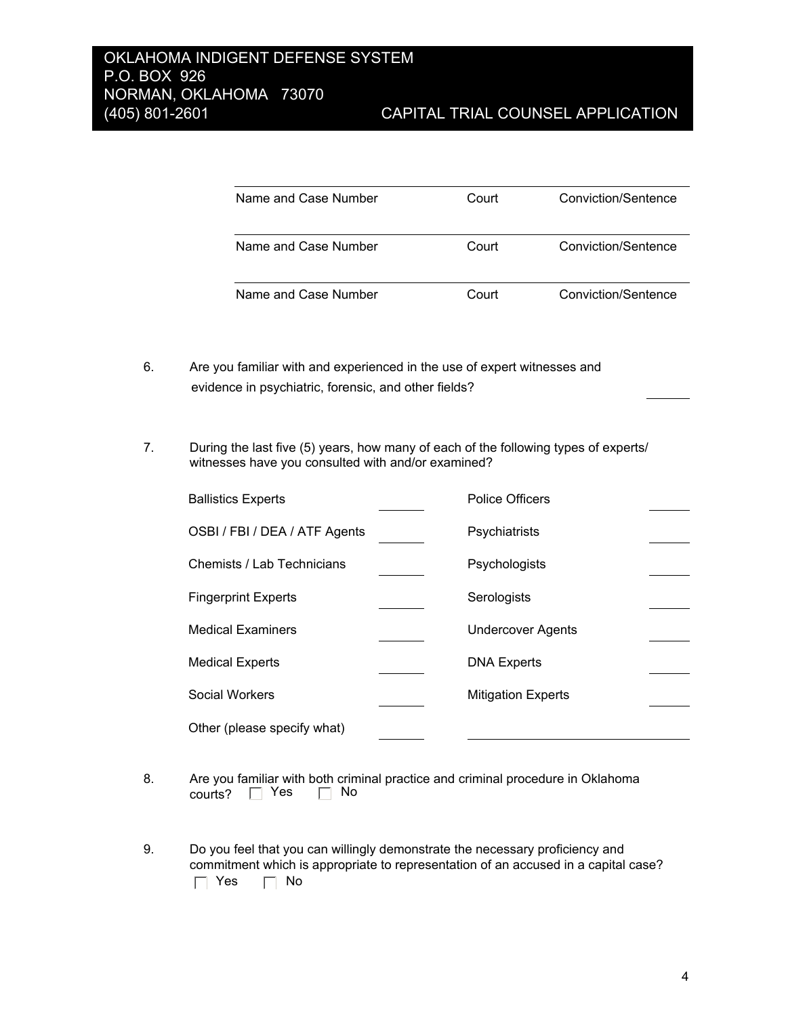| Name and Case Number | Court | Conviction/Sentence |
|----------------------|-------|---------------------|
| Name and Case Number | Court | Conviction/Sentence |
| Name and Case Number | Court | Conviction/Sentence |

- 6. Are you familiar with and experienced in the use of expert witnesses and evidence in psychiatric, forensic, and other fields?
- $7.$ During the last five (5) years, how many of each of the following types of experts/ witnesses have you consulted with and/or examined?

| <b>Ballistics Experts</b>     | <b>Police Officers</b>    |  |
|-------------------------------|---------------------------|--|
| OSBI / FBI / DEA / ATF Agents | Psychiatrists             |  |
| Chemists / Lab Technicians    | Psychologists             |  |
| <b>Fingerprint Experts</b>    | Serologists               |  |
| <b>Medical Examiners</b>      | <b>Undercover Agents</b>  |  |
| <b>Medical Experts</b>        | <b>DNA Experts</b>        |  |
| Social Workers                | <b>Mitigation Experts</b> |  |
| Other (please specify what)   |                           |  |

- $8.$ Are you familiar with both criminal practice and criminal procedure in Oklahoma courts?  $\Box$  Yes  $\Box$  No
- Do you feel that you can willingly demonstrate the necessary proficiency and 9. commitment which is appropriate to representation of an accused in a capital case?  $\Box$  Yes  $\Box$  No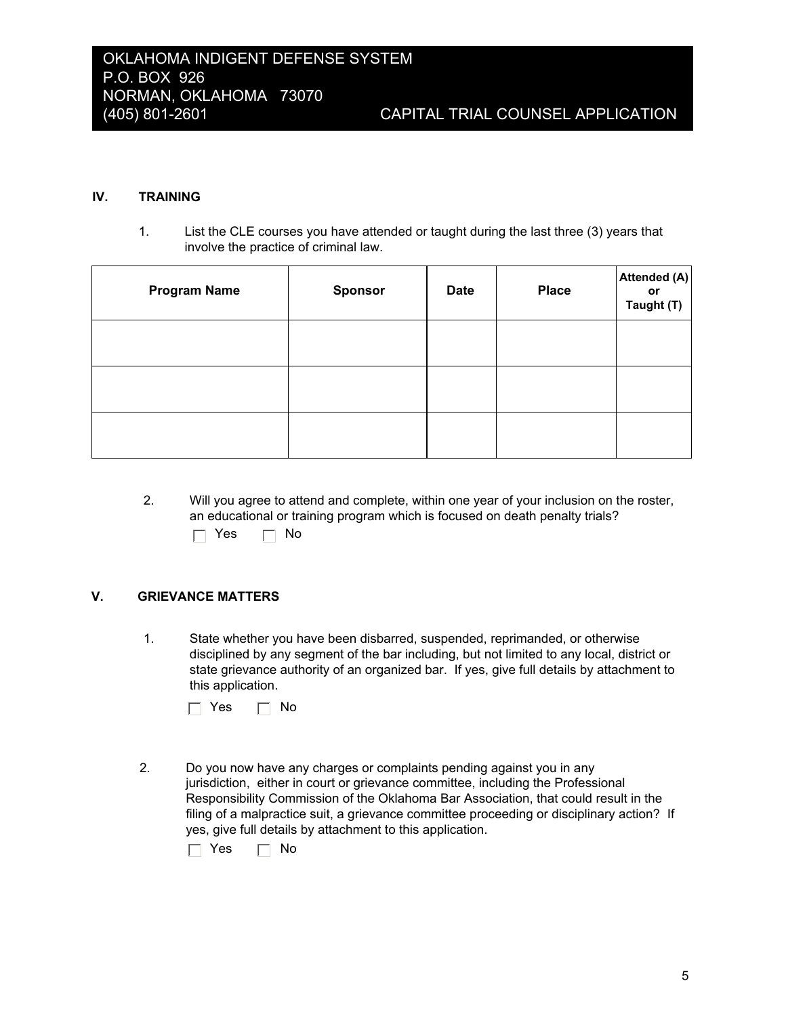#### IV. **TRAINING**

 $1<sub>1</sub>$ List the CLE courses you have attended or taught during the last three (3) years that involve the practice of criminal law.

| <b>Program Name</b> | <b>Sponsor</b> | <b>Date</b> | <b>Place</b> | Attended (A)<br>or<br>Taught (T) |
|---------------------|----------------|-------------|--------------|----------------------------------|
|                     |                |             |              |                                  |
|                     |                |             |              |                                  |
|                     |                |             |              |                                  |

- $2.$ Will you agree to attend and complete, within one year of your inclusion on the roster, an educational or training program which is focused on death penalty trials?
	- $\Box$  Yes  $\Box$  No

### V. **GRIEVANCE MATTERS**

 $1.$ State whether you have been disbarred, suspended, reprimanded, or otherwise disciplined by any segment of the bar including, but not limited to any local, district or state grievance authority of an organized bar. If yes, give full details by attachment to this application.

| Yes. |  | No |
|------|--|----|
|------|--|----|

 $2.$ Do you now have any charges or complaints pending against you in any jurisdiction, either in court or grievance committee, including the Professional Responsibility Commission of the Oklahoma Bar Association, that could result in the filing of a malpractice suit, a grievance committee proceeding or disciplinary action? If yes, give full details by attachment to this application.

 $\Box$  Yes  $\Box$  No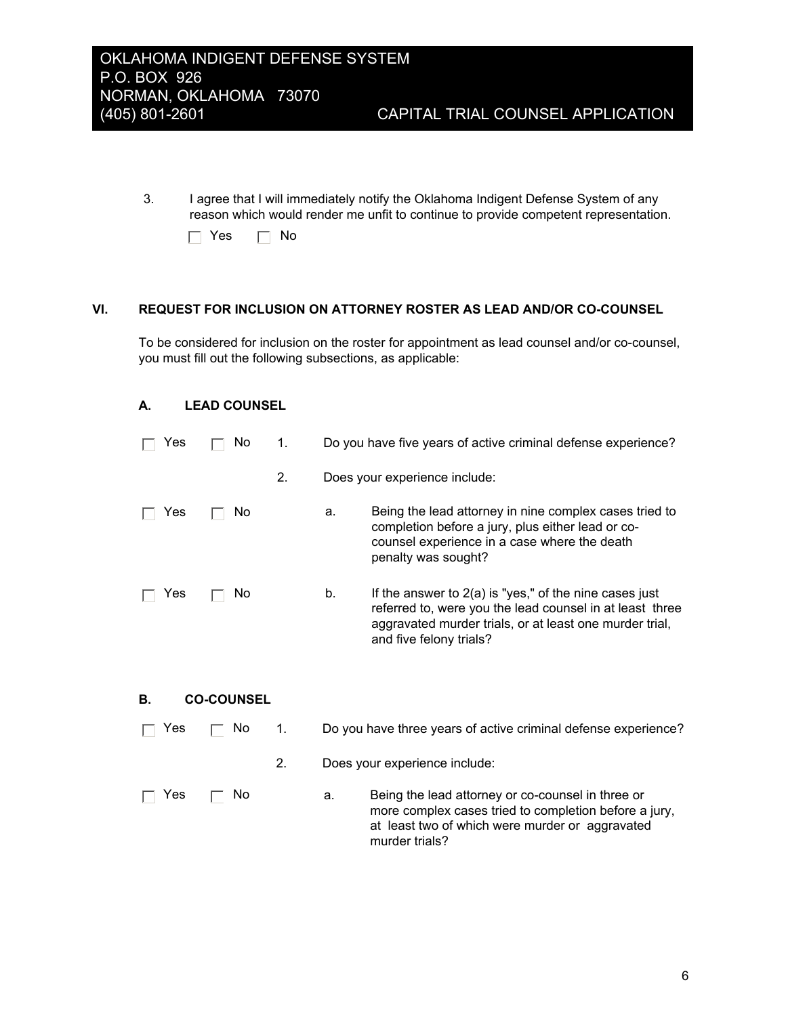$3.$ I agree that I will immediately notify the Oklahoma Indigent Defense System of any reason which would render me unfit to continue to provide competent representation.

| Yes. |  | No |
|------|--|----|
|------|--|----|

### VI. REQUEST FOR INCLUSION ON ATTORNEY ROSTER AS LEAD AND/OR CO-COUNSEL

To be considered for inclusion on the roster for appointment as lead counsel and/or co-counsel, you must fill out the following subsections, as applicable:

### А. **LEAD COUNSEL**

| Yes | No.               | 1. |    | Do you have five years of active criminal defense experience?                                                                                                                                              |
|-----|-------------------|----|----|------------------------------------------------------------------------------------------------------------------------------------------------------------------------------------------------------------|
|     |                   | 2. |    | Does your experience include:                                                                                                                                                                              |
| Yes | No.               |    | a. | Being the lead attorney in nine complex cases tried to<br>completion before a jury, plus either lead or co-<br>counsel experience in a case where the death<br>penalty was sought?                         |
| Yes | No.               |    | b. | If the answer to $2(a)$ is "yes," of the nine cases just<br>referred to, were you the lead counsel in at least three<br>aggravated murder trials, or at least one murder trial,<br>and five felony trials? |
| В.  | <b>CO-COUNSEL</b> |    |    |                                                                                                                                                                                                            |
| Yes | No                | 1. |    | Do you have three years of active criminal defense experience?                                                                                                                                             |
|     |                   | 2. |    | Does your experience include:                                                                                                                                                                              |
| Yes | Νo                |    | a. | Being the lead attorney or co-counsel in three or<br>more complex cases tried to completion before a jury,<br>at least two of which were murder or aggravated<br>murder trials?                            |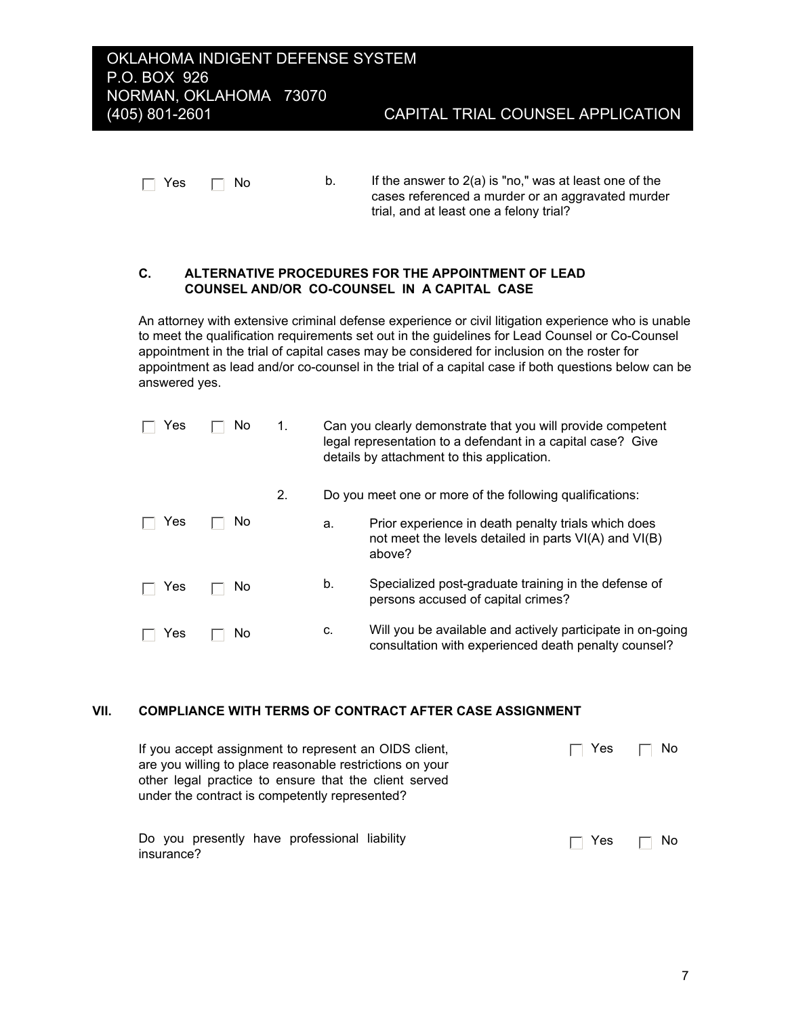### OKLAHOMA INDIGENT DEFENSE SYSTEM P.O. BOX 926 NORMAN, OKLAHOMA 73070 (405) 801-2601

| $\Box$ Yes $\Box$ No | If the answer to $2(a)$ is "no," was at least one of the |
|----------------------|----------------------------------------------------------|
|                      | cases referenced a murder or an aggregated murde         |

cases referenced a murder or an aggravated murder trial, and at least one a felony trial?

### ALTERNATIVE PROCEDURES FOR THE APPOINTMENT OF LEAD C. COUNSEL AND/OR CO-COUNSEL IN A CAPITAL CASE

An attorney with extensive criminal defense experience or civil litigation experience who is unable to meet the qualification requirements set out in the guidelines for Lead Counsel or Co-Counsel appointment in the trial of capital cases may be considered for inclusion on the roster for appointment as lead and/or co-counsel in the trial of a capital case if both questions below can be answered yes.

| Yes | No | 1. |    | Can you clearly demonstrate that you will provide competent<br>legal representation to a defendant in a capital case? Give<br>details by attachment to this application. |
|-----|----|----|----|--------------------------------------------------------------------------------------------------------------------------------------------------------------------------|
|     |    | 2. |    | Do you meet one or more of the following qualifications:                                                                                                                 |
| Yes | No |    | a. | Prior experience in death penalty trials which does<br>not meet the levels detailed in parts VI(A) and VI(B)<br>above?                                                   |
| Yes | No |    | b. | Specialized post-graduate training in the defense of<br>persons accused of capital crimes?                                                                               |
| Yes | No |    | c. | Will you be available and actively participate in on-going<br>consultation with experienced death penalty counsel?                                                       |

### VII. **COMPLIANCE WITH TERMS OF CONTRACT AFTER CASE ASSIGNMENT**

| If you accept assignment to represent an OIDS client,<br>are you willing to place reasonable restrictions on your<br>other legal practice to ensure that the client served<br>under the contract is competently represented? |                                                                       | No. |
|------------------------------------------------------------------------------------------------------------------------------------------------------------------------------------------------------------------------------|-----------------------------------------------------------------------|-----|
| Do you presently have professional liability<br>insurance?                                                                                                                                                                   | $\overline{\phantom{a}}$ Yes $\overline{\phantom{a}}$<br>$\mathbf{I}$ | No. |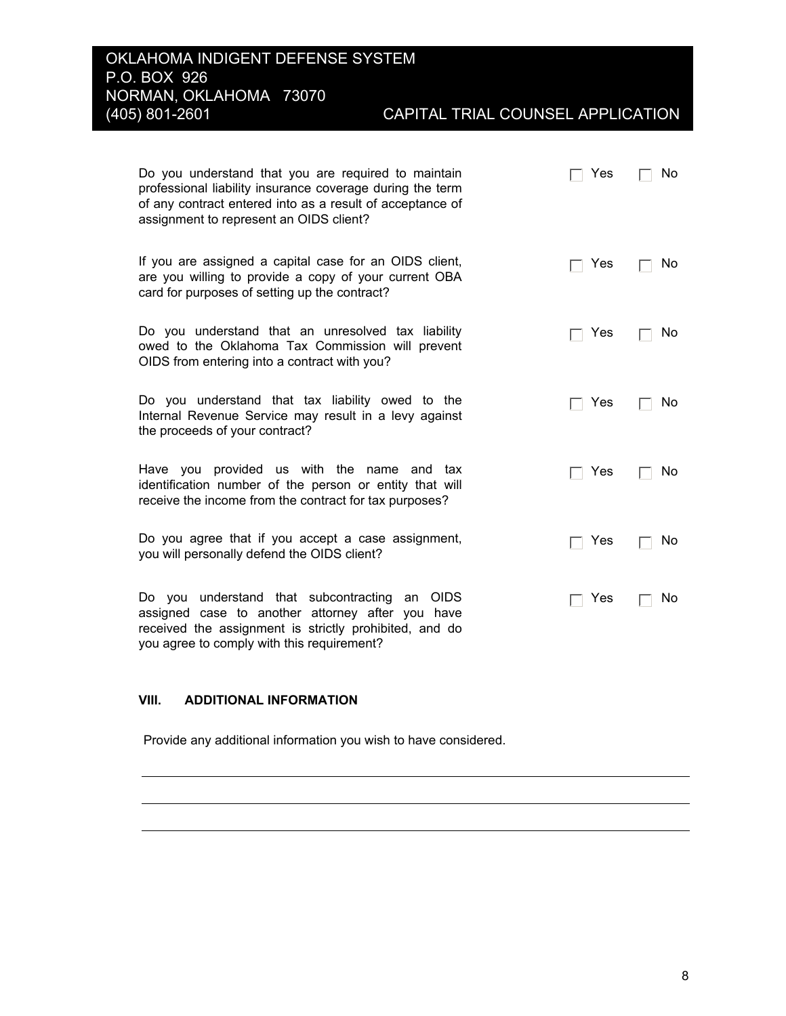# CAPITAL TRIAL COUNSEL APPLICATION

| Do you understand that you are required to maintain<br>professional liability insurance coverage during the term<br>of any contract entered into as a result of acceptance of<br>assignment to represent an OIDS client? | Yes | No |
|--------------------------------------------------------------------------------------------------------------------------------------------------------------------------------------------------------------------------|-----|----|
| If you are assigned a capital case for an OIDS client,<br>are you willing to provide a copy of your current OBA<br>card for purposes of setting up the contract?                                                         | Yes | No |
| Do you understand that an unresolved tax liability<br>owed to the Oklahoma Tax Commission will prevent<br>OIDS from entering into a contract with you?                                                                   | Yes | No |
| Do you understand that tax liability owed to the<br>Internal Revenue Service may result in a levy against<br>the proceeds of your contract?                                                                              | Yes | No |
| provided us with the name and tax<br>Have you<br>identification number of the person or entity that will<br>receive the income from the contract for tax purposes?                                                       | Yes | No |
| Do you agree that if you accept a case assignment,<br>you will personally defend the OIDS client?                                                                                                                        | Yes | No |
| understand that subcontracting<br>OIDS<br>Do you<br>an<br>assigned case to another attorney after you have<br>received the assignment is strictly prohibited, and do                                                     | Yes | No |

### VIII. **ADDITIONAL INFORMATION**

you agree to comply with this requirement?

Provide any additional information you wish to have considered.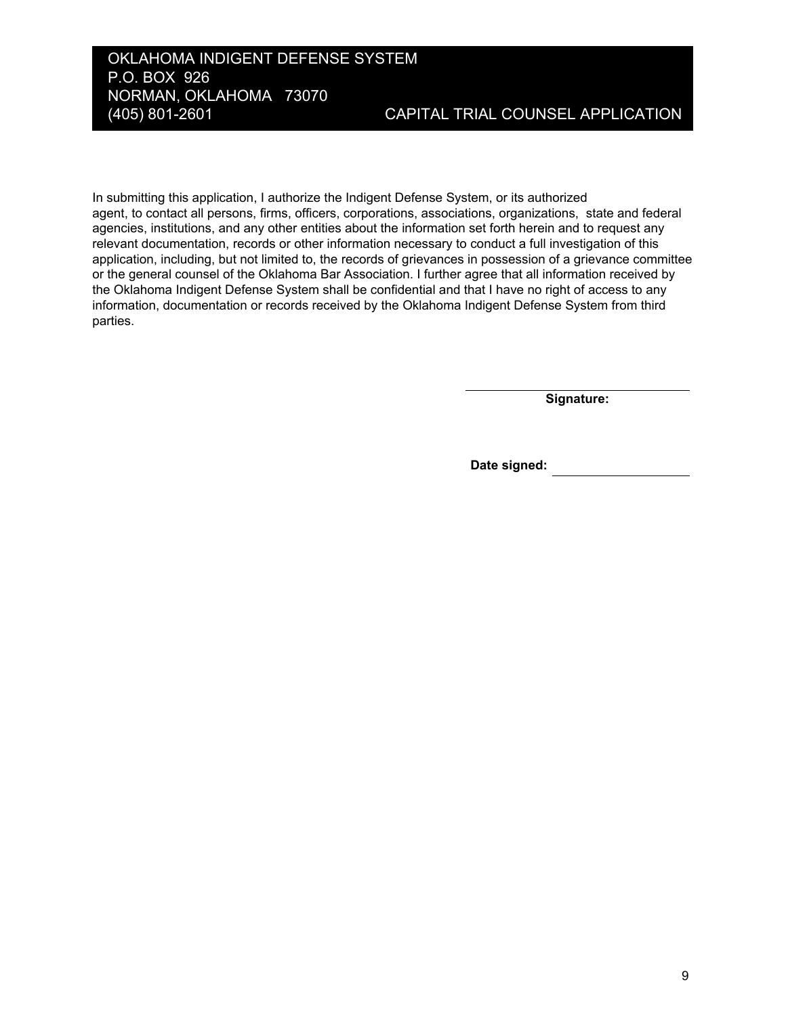## OKLAHOMA INDIGENT DEFENSE SYSTEM P.O. BOX 926 NORMAN, OKLAHOMA 73070 (405) 801-2601

In submitting this application, I authorize the Indigent Defense System, or its authorized agent, to contact all persons, firms, officers, corporations, associations, organizations, state and federal agencies, institutions, and any other entities about the information set forth herein and to request any relevant documentation, records or other information necessary to conduct a full investigation of this application, including, but not limited to, the records of grievances in possession of a grievance committee or the general counsel of the Oklahoma Bar Association. I further agree that all information received by the Oklahoma Indigent Defense System shall be confidential and that I have no right of access to any information, documentation or records received by the Oklahoma Indigent Defense System from third parties.

Signature:

Date signed: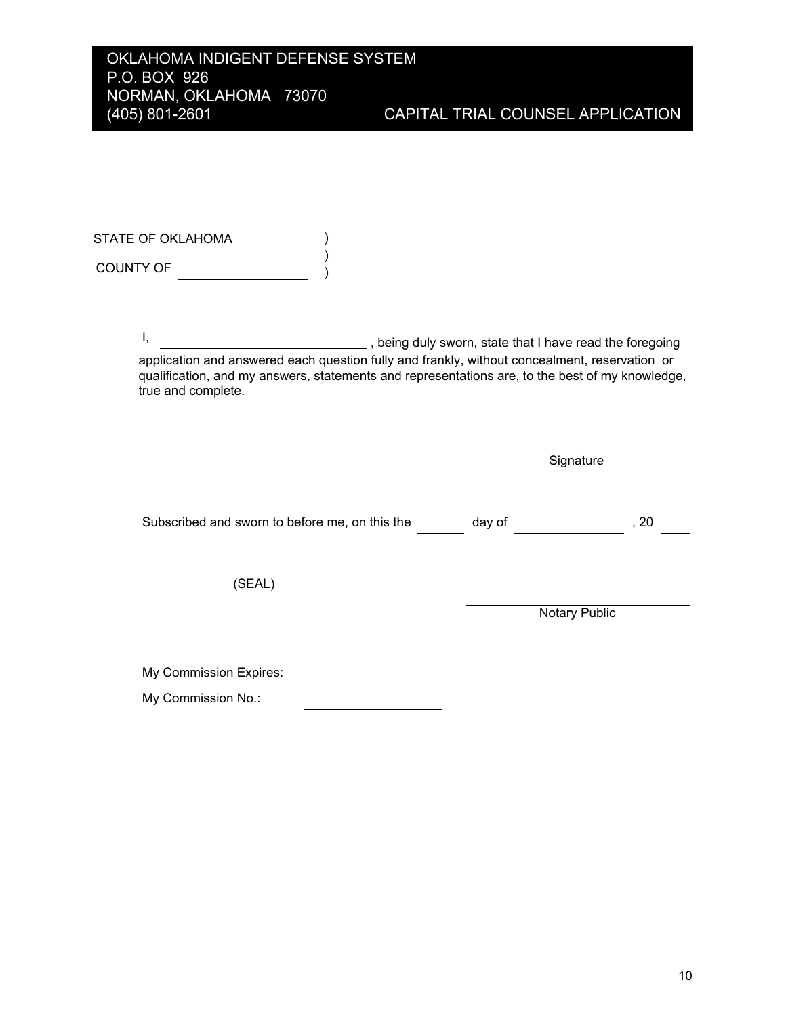STATE OF OKLAHOMA  $\mathcal{L}$  $\mathcal{L}$ COUNTY OF  $\qquad \qquad \qquad \qquad$ 

> $\mathbf{I}$ , being duly sworn, state that I have read the foregoing application and answered each question fully and frankly, without concealment, reservation or qualification, and my answers, statements and representations are, to the best of my knowledge, true and complete.

|                                                | Signature |               |      |
|------------------------------------------------|-----------|---------------|------|
| Subscribed and sworn to before me, on this the | day of    |               | , 20 |
| (SEAL)                                         |           |               |      |
|                                                |           | Notary Public |      |
| My Commission Expires:                         |           |               |      |
| My Commission No.:                             |           |               |      |